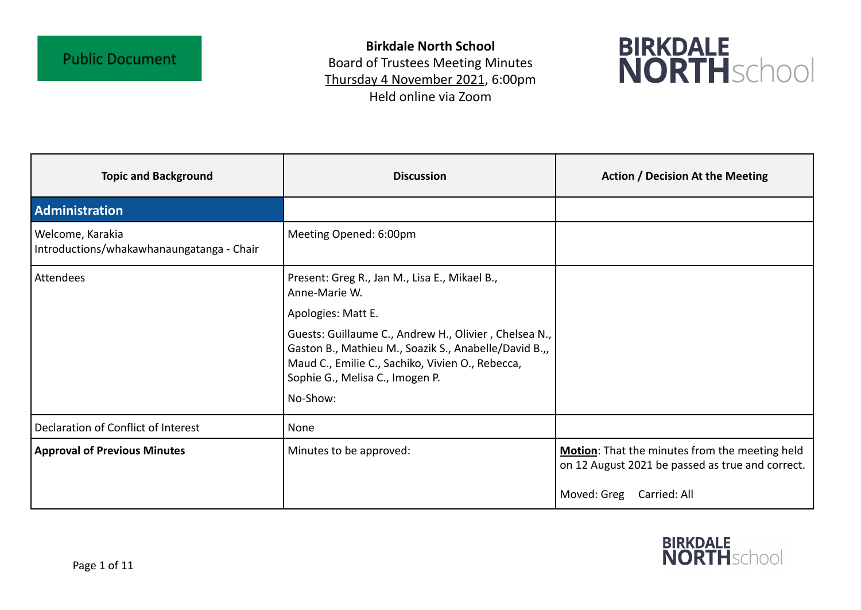**Birkdale North School** Board of Trustees Meeting Minutes Thursday 4 November 2021, 6:00pm Held online via Zoom



| <b>Topic and Background</b>                                   | <b>Discussion</b>                                                                                                                                                                                     | <b>Action / Decision At the Meeting</b>                                                            |
|---------------------------------------------------------------|-------------------------------------------------------------------------------------------------------------------------------------------------------------------------------------------------------|----------------------------------------------------------------------------------------------------|
| <b>Administration</b>                                         |                                                                                                                                                                                                       |                                                                                                    |
| Welcome, Karakia<br>Introductions/whakawhanaungatanga - Chair | Meeting Opened: 6:00pm                                                                                                                                                                                |                                                                                                    |
| Attendees                                                     | Present: Greg R., Jan M., Lisa E., Mikael B.,<br>Anne-Marie W.                                                                                                                                        |                                                                                                    |
|                                                               | Apologies: Matt E.                                                                                                                                                                                    |                                                                                                    |
|                                                               | Guests: Guillaume C., Andrew H., Olivier, Chelsea N.,<br>Gaston B., Mathieu M., Soazik S., Anabelle/David B.,,<br>Maud C., Emilie C., Sachiko, Vivien O., Rebecca,<br>Sophie G., Melisa C., Imogen P. |                                                                                                    |
|                                                               | No-Show:                                                                                                                                                                                              |                                                                                                    |
| Declaration of Conflict of Interest                           | None                                                                                                                                                                                                  |                                                                                                    |
| <b>Approval of Previous Minutes</b>                           | Minutes to be approved:                                                                                                                                                                               | Motion: That the minutes from the meeting held<br>on 12 August 2021 be passed as true and correct. |
|                                                               |                                                                                                                                                                                                       | Moved: Greg<br>Carried: All                                                                        |

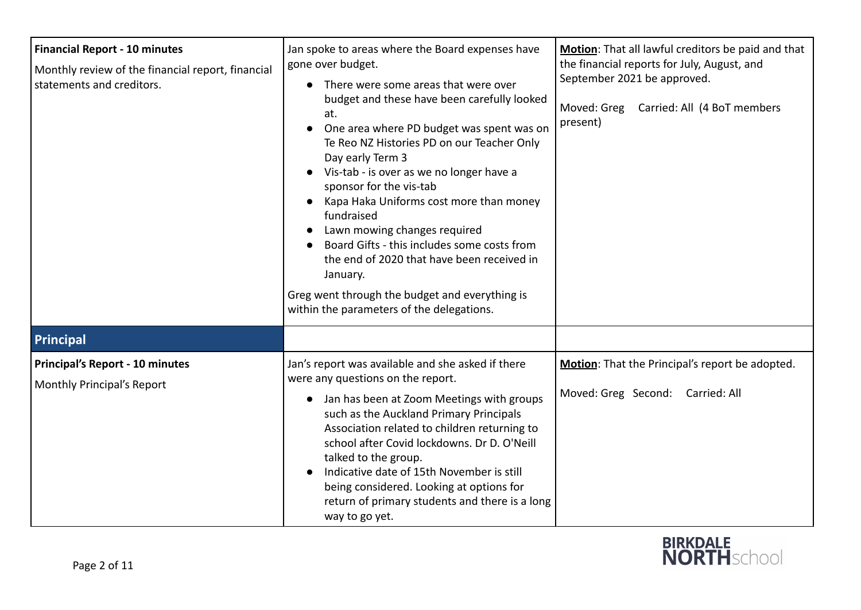| <b>Financial Report - 10 minutes</b><br>Monthly review of the financial report, financial<br>statements and creditors. | Jan spoke to areas where the Board expenses have<br>gone over budget.<br>There were some areas that were over<br>$\bullet$<br>budget and these have been carefully looked<br>at.<br>One area where PD budget was spent was on<br>Te Reo NZ Histories PD on our Teacher Only<br>Day early Term 3<br>Vis-tab - is over as we no longer have a<br>sponsor for the vis-tab<br>Kapa Haka Uniforms cost more than money<br>fundraised<br>Lawn mowing changes required<br>Board Gifts - this includes some costs from<br>the end of 2020 that have been received in<br>January.<br>Greg went through the budget and everything is<br>within the parameters of the delegations. | Motion: That all lawful creditors be paid and that<br>the financial reports for July, August, and<br>September 2021 be approved.<br>Moved: Greg<br>Carried: All (4 BoT members<br>present) |
|------------------------------------------------------------------------------------------------------------------------|-------------------------------------------------------------------------------------------------------------------------------------------------------------------------------------------------------------------------------------------------------------------------------------------------------------------------------------------------------------------------------------------------------------------------------------------------------------------------------------------------------------------------------------------------------------------------------------------------------------------------------------------------------------------------|--------------------------------------------------------------------------------------------------------------------------------------------------------------------------------------------|
| Principal<br>Principal's Report - 10 minutes<br>Monthly Principal's Report                                             | Jan's report was available and she asked if there<br>were any questions on the report.<br>• Jan has been at Zoom Meetings with groups<br>such as the Auckland Primary Principals<br>Association related to children returning to<br>school after Covid lockdowns. Dr D. O'Neill<br>talked to the group.<br>Indicative date of 15th November is still<br>being considered. Looking at options for<br>return of primary students and there is a long<br>way to go yet.                                                                                                                                                                                                    | Motion: That the Principal's report be adopted.<br>Moved: Greg Second: Carried: All                                                                                                        |

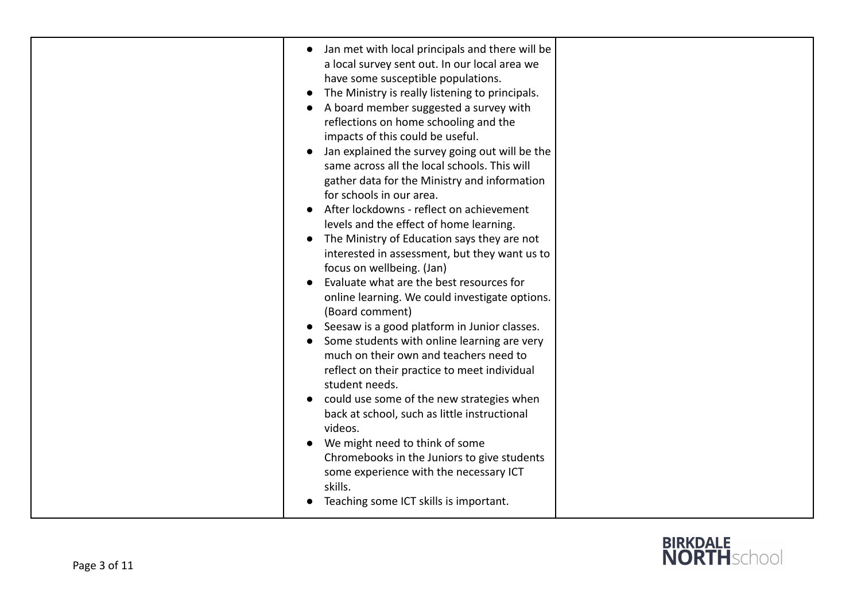| Jan met with local principals and there will be<br>$\bullet$<br>a local survey sent out. In our local area we<br>have some susceptible populations.<br>The Ministry is really listening to principals.<br>$\bullet$<br>A board member suggested a survey with<br>reflections on home schooling and the<br>impacts of this could be useful.<br>Jan explained the survey going out will be the<br>same across all the local schools. This will<br>gather data for the Ministry and information<br>for schools in our area.<br>After lockdowns - reflect on achievement<br>levels and the effect of home learning.<br>The Ministry of Education says they are not<br>$\bullet$<br>interested in assessment, but they want us to<br>focus on wellbeing. (Jan)<br>Evaluate what are the best resources for<br>online learning. We could investigate options.<br>(Board comment)<br>Seesaw is a good platform in Junior classes.<br>Some students with online learning are very<br>much on their own and teachers need to<br>reflect on their practice to meet individual<br>student needs.<br>could use some of the new strategies when<br>back at school, such as little instructional<br>videos.<br>We might need to think of some<br>Chromebooks in the Juniors to give students<br>some experience with the necessary ICT<br>skills. |  |
|-------------------------------------------------------------------------------------------------------------------------------------------------------------------------------------------------------------------------------------------------------------------------------------------------------------------------------------------------------------------------------------------------------------------------------------------------------------------------------------------------------------------------------------------------------------------------------------------------------------------------------------------------------------------------------------------------------------------------------------------------------------------------------------------------------------------------------------------------------------------------------------------------------------------------------------------------------------------------------------------------------------------------------------------------------------------------------------------------------------------------------------------------------------------------------------------------------------------------------------------------------------------------------------------------------------------------------------|--|
| Teaching some ICT skills is important.                                                                                                                                                                                                                                                                                                                                                                                                                                                                                                                                                                                                                                                                                                                                                                                                                                                                                                                                                                                                                                                                                                                                                                                                                                                                                              |  |

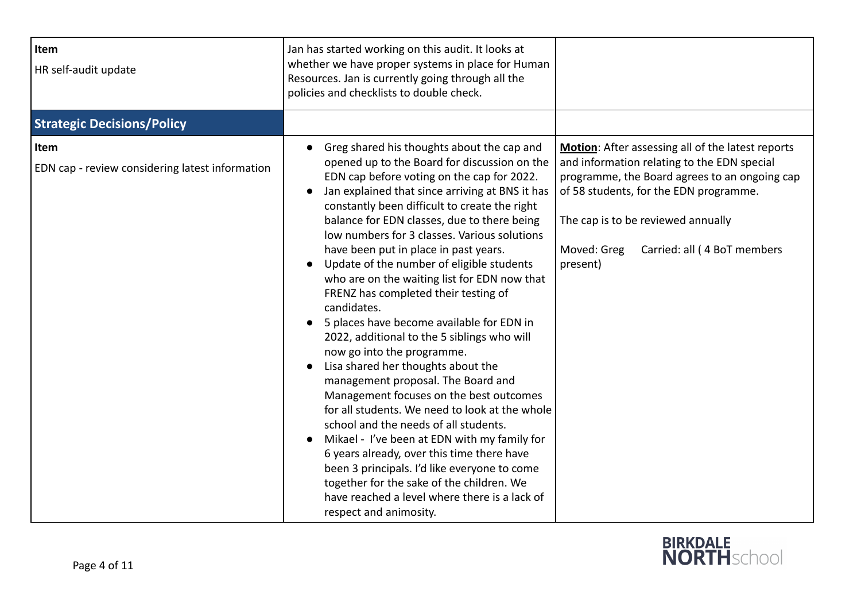| Item<br>HR self-audit update                            | Jan has started working on this audit. It looks at<br>whether we have proper systems in place for Human<br>Resources. Jan is currently going through all the<br>policies and checklists to double check.                                                                                                                                                                                                                                                                                                                                                                                                                                                                                                                                                                                                                                                                                                                                                                                                                                                                                                                                                                                          |                                                                                                                                                                                                                                                                                             |
|---------------------------------------------------------|---------------------------------------------------------------------------------------------------------------------------------------------------------------------------------------------------------------------------------------------------------------------------------------------------------------------------------------------------------------------------------------------------------------------------------------------------------------------------------------------------------------------------------------------------------------------------------------------------------------------------------------------------------------------------------------------------------------------------------------------------------------------------------------------------------------------------------------------------------------------------------------------------------------------------------------------------------------------------------------------------------------------------------------------------------------------------------------------------------------------------------------------------------------------------------------------------|---------------------------------------------------------------------------------------------------------------------------------------------------------------------------------------------------------------------------------------------------------------------------------------------|
| <b>Strategic Decisions/Policy</b>                       |                                                                                                                                                                                                                                                                                                                                                                                                                                                                                                                                                                                                                                                                                                                                                                                                                                                                                                                                                                                                                                                                                                                                                                                                   |                                                                                                                                                                                                                                                                                             |
| Item<br>EDN cap - review considering latest information | Greg shared his thoughts about the cap and<br>opened up to the Board for discussion on the<br>EDN cap before voting on the cap for 2022.<br>Jan explained that since arriving at BNS it has<br>$\bullet$<br>constantly been difficult to create the right<br>balance for EDN classes, due to there being<br>low numbers for 3 classes. Various solutions<br>have been put in place in past years.<br>Update of the number of eligible students<br>who are on the waiting list for EDN now that<br>FRENZ has completed their testing of<br>candidates.<br>5 places have become available for EDN in<br>$\bullet$<br>2022, additional to the 5 siblings who will<br>now go into the programme.<br>Lisa shared her thoughts about the<br>management proposal. The Board and<br>Management focuses on the best outcomes<br>for all students. We need to look at the whole<br>school and the needs of all students.<br>Mikael - I've been at EDN with my family for<br>$\bullet$<br>6 years already, over this time there have<br>been 3 principals. I'd like everyone to come<br>together for the sake of the children. We<br>have reached a level where there is a lack of<br>respect and animosity. | Motion: After assessing all of the latest reports<br>and information relating to the EDN special<br>programme, the Board agrees to an ongoing cap<br>of 58 students, for the EDN programme.<br>The cap is to be reviewed annually<br>Carried: all (4 BoT members<br>Moved: Greg<br>present) |

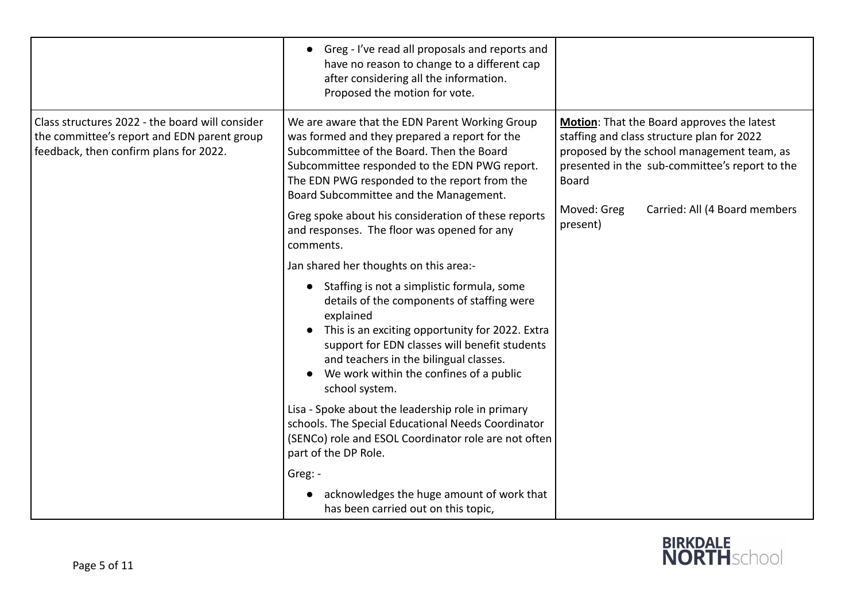|                                                                                                                                          | Greg - I've read all proposals and reports and<br>have no reason to change to a different cap<br>after considering all the information.<br>Proposed the motion for vote.                                                                                                                                         |                                                                                                                                                                                                          |
|------------------------------------------------------------------------------------------------------------------------------------------|------------------------------------------------------------------------------------------------------------------------------------------------------------------------------------------------------------------------------------------------------------------------------------------------------------------|----------------------------------------------------------------------------------------------------------------------------------------------------------------------------------------------------------|
| Class structures 2022 - the board will consider<br>the committee's report and EDN parent group<br>feedback, then confirm plans for 2022. | We are aware that the EDN Parent Working Group<br>was formed and they prepared a report for the<br>Subcommittee of the Board. Then the Board<br>Subcommittee responded to the EDN PWG report.<br>The EDN PWG responded to the report from the<br>Board Subcommittee and the Management.                          | Motion: That the Board approves the latest<br>staffing and class structure plan for 2022<br>proposed by the school management team, as<br>presented in the sub-committee's report to the<br><b>Board</b> |
|                                                                                                                                          | Greg spoke about his consideration of these reports<br>and responses. The floor was opened for any<br>comments.                                                                                                                                                                                                  | Carried: All (4 Board members<br>Moved: Greg<br>present)                                                                                                                                                 |
|                                                                                                                                          | Jan shared her thoughts on this area:-                                                                                                                                                                                                                                                                           |                                                                                                                                                                                                          |
|                                                                                                                                          | Staffing is not a simplistic formula, some<br>details of the components of staffing were<br>explained<br>This is an exciting opportunity for 2022. Extra<br>support for EDN classes will benefit students<br>and teachers in the bilingual classes.<br>We work within the confines of a public<br>school system. |                                                                                                                                                                                                          |
|                                                                                                                                          | Lisa - Spoke about the leadership role in primary<br>schools. The Special Educational Needs Coordinator<br>(SENCo) role and ESOL Coordinator role are not often<br>part of the DP Role.                                                                                                                          |                                                                                                                                                                                                          |
|                                                                                                                                          | Greg: -                                                                                                                                                                                                                                                                                                          |                                                                                                                                                                                                          |
|                                                                                                                                          | acknowledges the huge amount of work that<br>has been carried out on this topic,                                                                                                                                                                                                                                 |                                                                                                                                                                                                          |

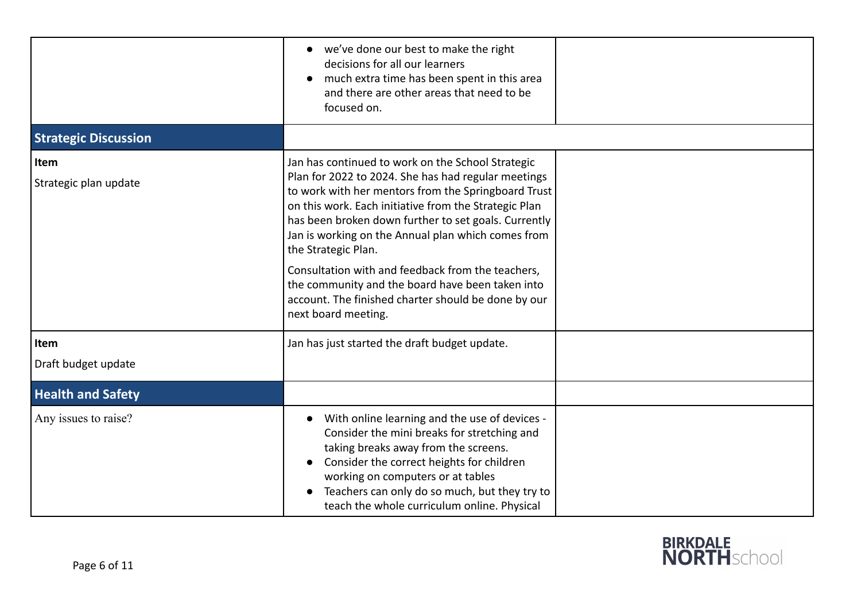|                               | we've done our best to make the right<br>decisions for all our learners<br>much extra time has been spent in this area<br>$\bullet$<br>and there are other areas that need to be<br>focused on.                                                                                                                                                                                                                                                                                                                                                      |  |
|-------------------------------|------------------------------------------------------------------------------------------------------------------------------------------------------------------------------------------------------------------------------------------------------------------------------------------------------------------------------------------------------------------------------------------------------------------------------------------------------------------------------------------------------------------------------------------------------|--|
| <b>Strategic Discussion</b>   |                                                                                                                                                                                                                                                                                                                                                                                                                                                                                                                                                      |  |
| Item<br>Strategic plan update | Jan has continued to work on the School Strategic<br>Plan for 2022 to 2024. She has had regular meetings<br>to work with her mentors from the Springboard Trust<br>on this work. Each initiative from the Strategic Plan<br>has been broken down further to set goals. Currently<br>Jan is working on the Annual plan which comes from<br>the Strategic Plan.<br>Consultation with and feedback from the teachers,<br>the community and the board have been taken into<br>account. The finished charter should be done by our<br>next board meeting. |  |
| Item<br>Draft budget update   | Jan has just started the draft budget update.                                                                                                                                                                                                                                                                                                                                                                                                                                                                                                        |  |
| <b>Health and Safety</b>      |                                                                                                                                                                                                                                                                                                                                                                                                                                                                                                                                                      |  |
| Any issues to raise?          | With online learning and the use of devices -<br>$\bullet$<br>Consider the mini breaks for stretching and<br>taking breaks away from the screens.<br>Consider the correct heights for children<br>$\bullet$<br>working on computers or at tables<br>Teachers can only do so much, but they try to<br>$\bullet$<br>teach the whole curriculum online. Physical                                                                                                                                                                                        |  |

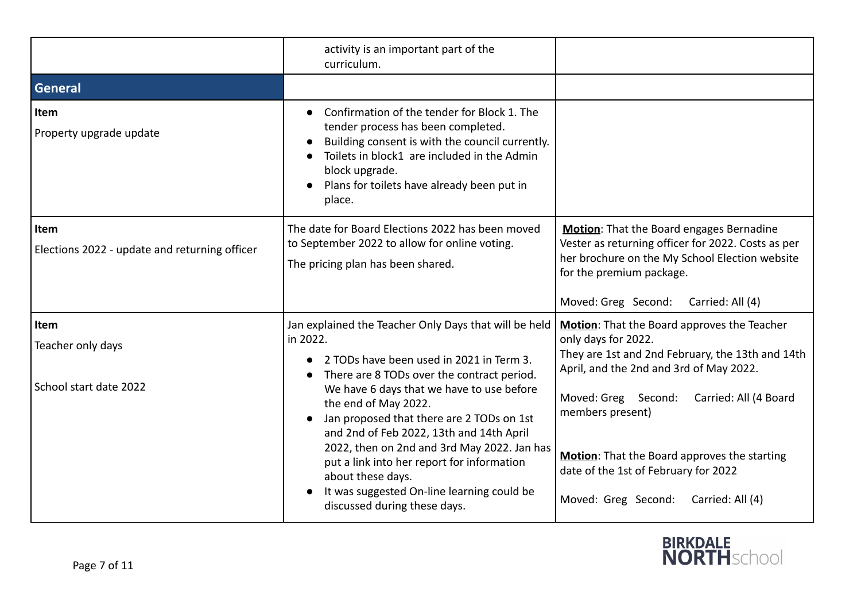|                                                              | activity is an important part of the<br>curriculum.                                                                                                                                                                                                                                                                                                                                                                                                                                                                       |                                                                                                                                                                                                                                                                                                                                                                          |
|--------------------------------------------------------------|---------------------------------------------------------------------------------------------------------------------------------------------------------------------------------------------------------------------------------------------------------------------------------------------------------------------------------------------------------------------------------------------------------------------------------------------------------------------------------------------------------------------------|--------------------------------------------------------------------------------------------------------------------------------------------------------------------------------------------------------------------------------------------------------------------------------------------------------------------------------------------------------------------------|
| General                                                      |                                                                                                                                                                                                                                                                                                                                                                                                                                                                                                                           |                                                                                                                                                                                                                                                                                                                                                                          |
| Item<br>Property upgrade update                              | Confirmation of the tender for Block 1. The<br>tender process has been completed.<br>Building consent is with the council currently.<br>Toilets in block1 are included in the Admin<br>block upgrade.<br>Plans for toilets have already been put in<br>place.                                                                                                                                                                                                                                                             |                                                                                                                                                                                                                                                                                                                                                                          |
| <b>Item</b><br>Elections 2022 - update and returning officer | The date for Board Elections 2022 has been moved<br>to September 2022 to allow for online voting.<br>The pricing plan has been shared.                                                                                                                                                                                                                                                                                                                                                                                    | Motion: That the Board engages Bernadine<br>Vester as returning officer for 2022. Costs as per<br>her brochure on the My School Election website<br>for the premium package.<br>Moved: Greg Second:<br>Carried: All (4)                                                                                                                                                  |
| Item<br>Teacher only days<br>School start date 2022          | Jan explained the Teacher Only Days that will be held<br>in 2022.<br>2 TODs have been used in 2021 in Term 3.<br>There are 8 TODs over the contract period.<br>We have 6 days that we have to use before<br>the end of May 2022.<br>Jan proposed that there are 2 TODs on 1st<br>and 2nd of Feb 2022, 13th and 14th April<br>2022, then on 2nd and 3rd May 2022. Jan has<br>put a link into her report for information<br>about these days.<br>It was suggested On-line learning could be<br>discussed during these days. | Motion: That the Board approves the Teacher<br>only days for 2022.<br>They are 1st and 2nd February, the 13th and 14th<br>April, and the 2nd and 3rd of May 2022.<br>Moved: Greg Second:<br>Carried: All (4 Board<br>members present)<br>Motion: That the Board approves the starting<br>date of the 1st of February for 2022<br>Moved: Greg Second:<br>Carried: All (4) |

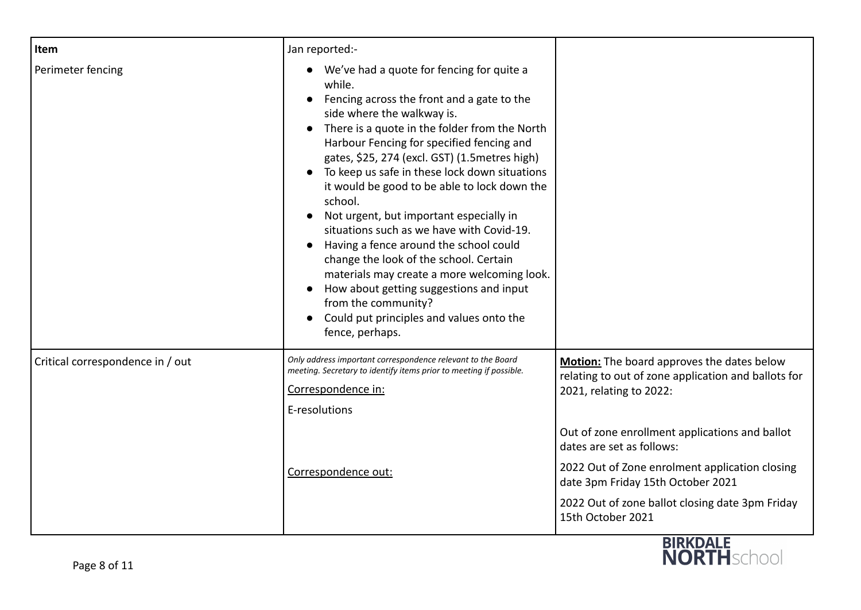| Item                             | Jan reported:-                                                                                                                                                                                                                                                                                                                                                                                                                                                                                                                                                                                                                                                                                                                                                       |                                                                                                                                                                                                                                                                                                                                                                            |
|----------------------------------|----------------------------------------------------------------------------------------------------------------------------------------------------------------------------------------------------------------------------------------------------------------------------------------------------------------------------------------------------------------------------------------------------------------------------------------------------------------------------------------------------------------------------------------------------------------------------------------------------------------------------------------------------------------------------------------------------------------------------------------------------------------------|----------------------------------------------------------------------------------------------------------------------------------------------------------------------------------------------------------------------------------------------------------------------------------------------------------------------------------------------------------------------------|
| Perimeter fencing                | We've had a quote for fencing for quite a<br>while.<br>Fencing across the front and a gate to the<br>side where the walkway is.<br>There is a quote in the folder from the North<br>Harbour Fencing for specified fencing and<br>gates, \$25, 274 (excl. GST) (1.5 metres high)<br>To keep us safe in these lock down situations<br>it would be good to be able to lock down the<br>school.<br>Not urgent, but important especially in<br>situations such as we have with Covid-19.<br>Having a fence around the school could<br>$\bullet$<br>change the look of the school. Certain<br>materials may create a more welcoming look.<br>How about getting suggestions and input<br>from the community?<br>Could put principles and values onto the<br>fence, perhaps. |                                                                                                                                                                                                                                                                                                                                                                            |
| Critical correspondence in / out | Only address important correspondence relevant to the Board<br>meeting. Secretary to identify items prior to meeting if possible.<br>Correspondence in:<br>E-resolutions<br>Correspondence out:                                                                                                                                                                                                                                                                                                                                                                                                                                                                                                                                                                      | Motion: The board approves the dates below<br>relating to out of zone application and ballots for<br>2021, relating to 2022:<br>Out of zone enrollment applications and ballot<br>dates are set as follows:<br>2022 Out of Zone enrolment application closing<br>date 3pm Friday 15th October 2021<br>2022 Out of zone ballot closing date 3pm Friday<br>15th October 2021 |

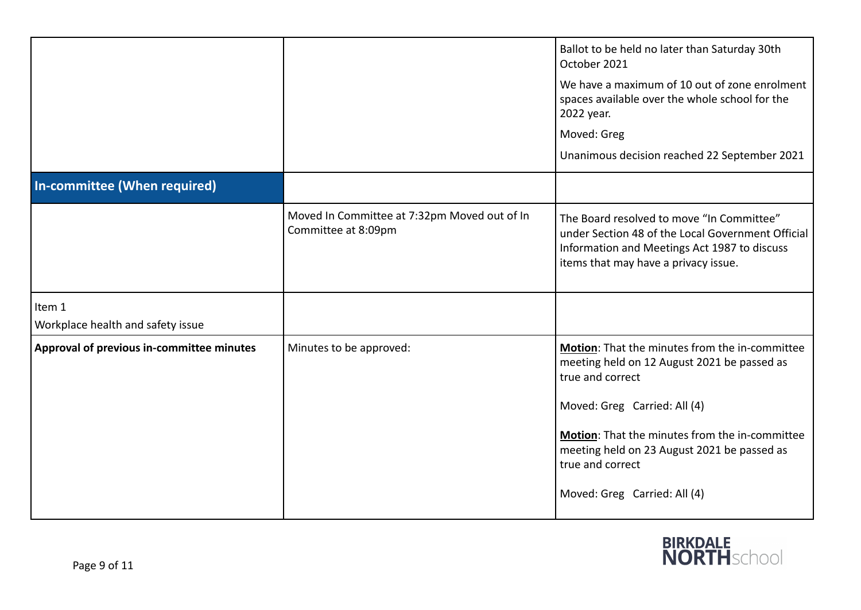|                                             |                                                                     | Ballot to be held no later than Saturday 30th<br>October 2021<br>We have a maximum of 10 out of zone enrolment<br>spaces available over the whole school for the<br>2022 year.<br>Moved: Greg<br>Unanimous decision reached 22 September 2021                                                          |
|---------------------------------------------|---------------------------------------------------------------------|--------------------------------------------------------------------------------------------------------------------------------------------------------------------------------------------------------------------------------------------------------------------------------------------------------|
| In-committee (When required)                |                                                                     |                                                                                                                                                                                                                                                                                                        |
|                                             | Moved In Committee at 7:32pm Moved out of In<br>Committee at 8:09pm | The Board resolved to move "In Committee"<br>under Section 48 of the Local Government Official<br>Information and Meetings Act 1987 to discuss<br>items that may have a privacy issue.                                                                                                                 |
| Item 1<br>Workplace health and safety issue |                                                                     |                                                                                                                                                                                                                                                                                                        |
| Approval of previous in-committee minutes   | Minutes to be approved:                                             | Motion: That the minutes from the in-committee<br>meeting held on 12 August 2021 be passed as<br>true and correct<br>Moved: Greg Carried: All (4)<br>Motion: That the minutes from the in-committee<br>meeting held on 23 August 2021 be passed as<br>true and correct<br>Moved: Greg Carried: All (4) |

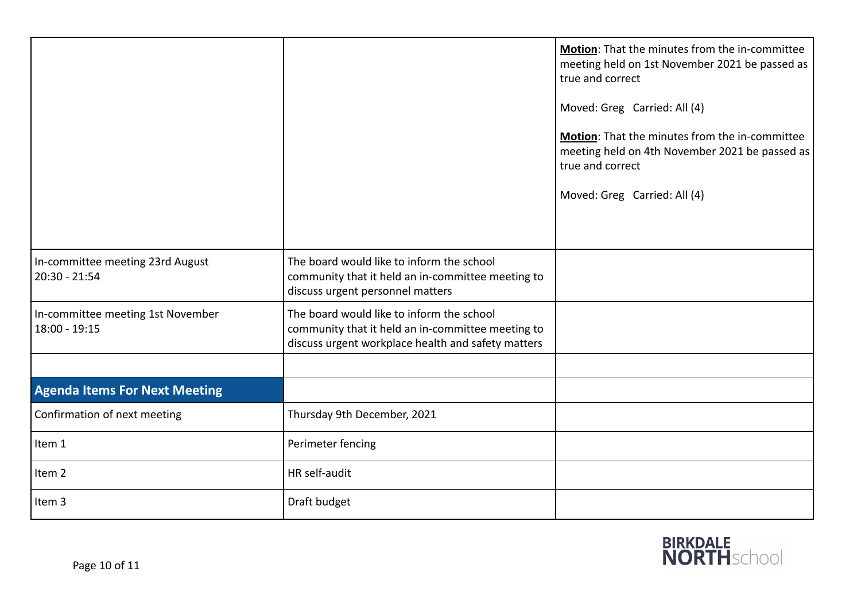|                                                     |                                                                                                                                                      | Motion: That the minutes from the in-committee<br>meeting held on 1st November 2021 be passed as<br>true and correct<br>Moved: Greg Carried: All (4)<br>Motion: That the minutes from the in-committee<br>meeting held on 4th November 2021 be passed as<br>true and correct<br>Moved: Greg Carried: All (4) |
|-----------------------------------------------------|------------------------------------------------------------------------------------------------------------------------------------------------------|--------------------------------------------------------------------------------------------------------------------------------------------------------------------------------------------------------------------------------------------------------------------------------------------------------------|
| In-committee meeting 23rd August<br>$20:30 - 21:54$ | The board would like to inform the school<br>community that it held an in-committee meeting to<br>discuss urgent personnel matters                   |                                                                                                                                                                                                                                                                                                              |
| In-committee meeting 1st November<br>18:00 - 19:15  | The board would like to inform the school<br>community that it held an in-committee meeting to<br>discuss urgent workplace health and safety matters |                                                                                                                                                                                                                                                                                                              |
|                                                     |                                                                                                                                                      |                                                                                                                                                                                                                                                                                                              |
| <b>Agenda Items For Next Meeting</b>                |                                                                                                                                                      |                                                                                                                                                                                                                                                                                                              |
| Confirmation of next meeting                        | Thursday 9th December, 2021                                                                                                                          |                                                                                                                                                                                                                                                                                                              |
| Item 1                                              | Perimeter fencing                                                                                                                                    |                                                                                                                                                                                                                                                                                                              |
| Item <sub>2</sub>                                   | HR self-audit                                                                                                                                        |                                                                                                                                                                                                                                                                                                              |
| Item 3                                              | Draft budget                                                                                                                                         |                                                                                                                                                                                                                                                                                                              |